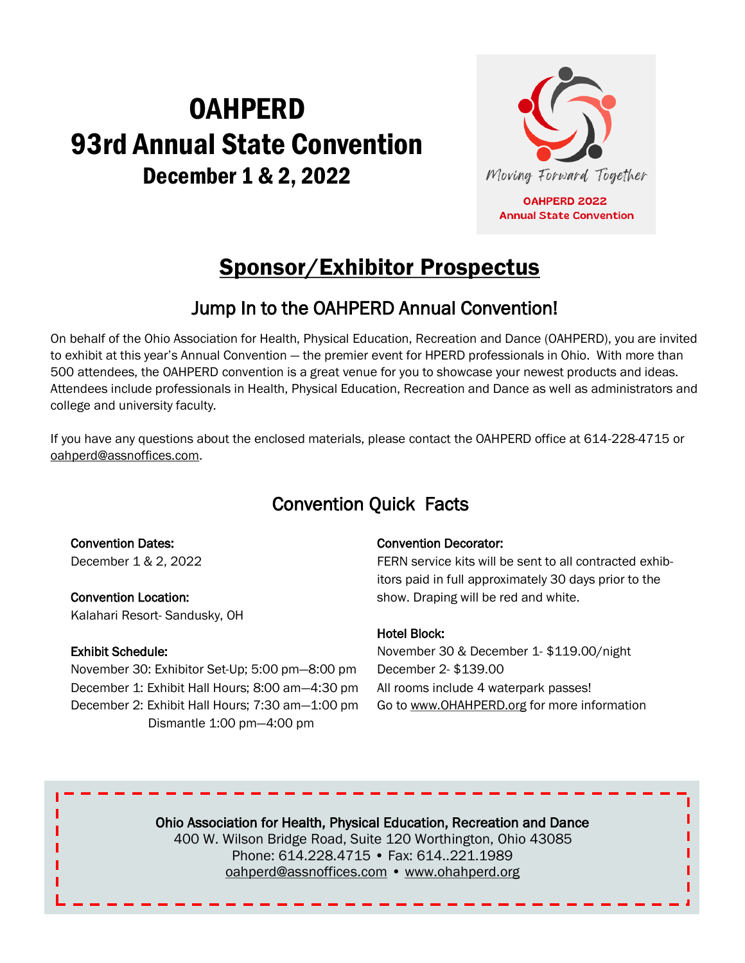# **OAHPERD** 93rd Annual State Convention December 1 & 2, 2022



**OAHPERD 2022 Annual State Convention** 

# Sponsor/Exhibitor Prospectus

# Jump In to the OAHPERD Annual Convention!

On behalf of the Ohio Association for Health, Physical Education, Recreation and Dance (OAHPERD), you are invited to exhibit at this year's Annual Convention — the premier event for HPERD professionals in Ohio. With more than 500 attendees, the OAHPERD convention is a great venue for you to showcase your newest products and ideas. Attendees include professionals in Health, Physical Education, Recreation and Dance as well as administrators and college and university faculty.

If you have any questions about the enclosed materials, please contact the OAHPERD office at 614-228-4715 or oahperd@assnoffices.com.

# Convention Quick Facts

Convention Dates: December 1 & 2, 2022

Convention Location: Kalahari Resort- Sandusky, OH

#### Exhibit Schedule:

November 30: Exhibitor Set-Up; 5:00 pm—8:00 pm December 1: Exhibit Hall Hours; 8:00 am—4:30 pm December 2: Exhibit Hall Hours; 7:30 am—1:00 pm Dismantle 1:00 pm—4:00 pm

#### Convention Decorator:

FERN service kits will be sent to all contracted exhibitors paid in full approximately 30 days prior to the show. Draping will be red and white.

#### Hotel Block:

November 30 & December 1- \$119.00/night December 2- \$139.00 All rooms include 4 waterpark passes! Go to www.OHAHPERD.org for more information

Ohio Association for Health, Physical Education, Recreation and Dance 400 W. Wilson Bridge Road, Suite 120 Worthington, Ohio 43085 Phone: 614.228.4715 • Fax: 614..221.1989 oahperd@assnoffices.com • www.ohahperd.org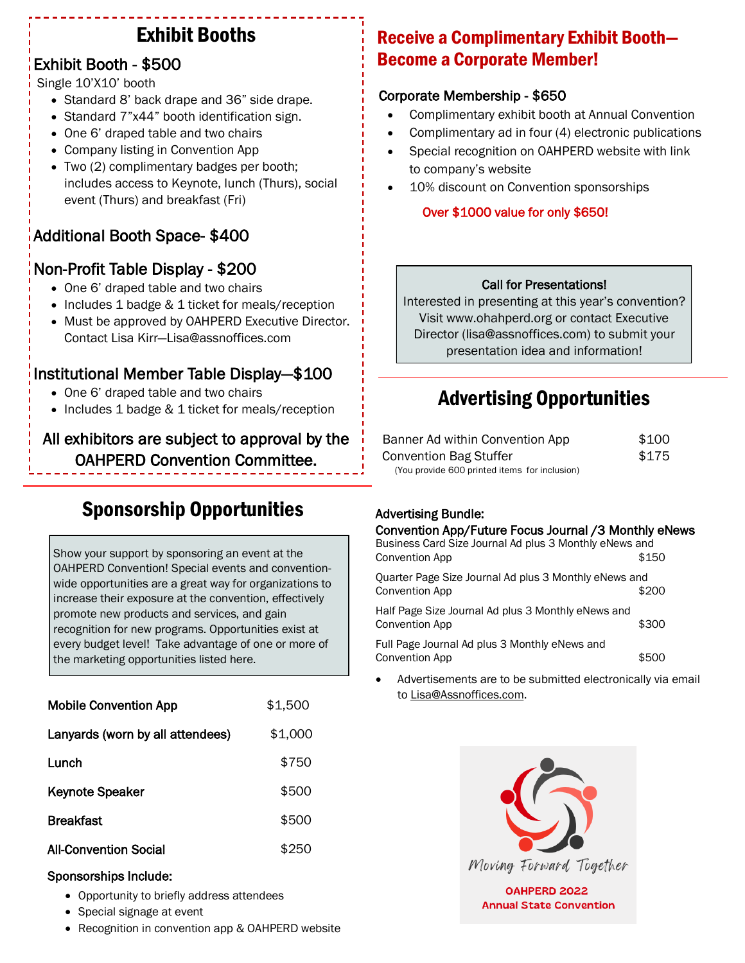# Exhibit Booths

### Exhibit Booth - \$500

Single 10'X10' booth

- Standard 8' back drape and 36" side drape.
- Standard 7"x44" booth identification sign.
- One 6' draped table and two chairs
- Company listing in Convention App
- Two (2) complimentary badges per booth; includes access to Keynote, lunch (Thurs), social event (Thurs) and breakfast (Fri)

## Additional Booth Space- \$400

## Non-Profit Table Display - \$200

- One 6' draped table and two chairs
- Includes 1 badge & 1 ticket for meals/reception
- Must be approved by OAHPERD Executive Director. Contact Lisa Kirr—Lisa@assnoffices.com

## Institutional Member Table Display—\$100

- One 6' draped table and two chairs
- Includes 1 badge & 1 ticket for meals/reception

#### All exhibitors are subject to approval by the OAHPERD Convention Committee.

# Sponsorship Opportunities

Show your support by sponsoring an event at the OAHPERD Convention! Special events and conventionwide opportunities are a great way for organizations to increase their exposure at the convention, effectively promote new products and services, and gain recognition for new programs. Opportunities exist at every budget level! Take advantage of one or more of the marketing opportunities listed here.

| <b>Mobile Convention App</b>     | \$1,500 |
|----------------------------------|---------|
| Lanyards (worn by all attendees) | \$1,000 |
| Lunch                            | \$750   |
| <b>Keynote Speaker</b>           | \$500   |
| <b>Breakfast</b>                 | \$500   |
| <b>All-Convention Social</b>     | \$250   |

#### Sponsorships Include:

- Opportunity to briefly address attendees
- Special signage at event
- Recognition in convention app & OAHPERD website

# Receive a Complimentary Exhibit Booth— Become a Corporate Member!

#### Corporate Membership - \$650

- Complimentary exhibit booth at Annual Convention
- Complimentary ad in four (4) electronic publications
- Special recognition on OAHPERD website with link to company's website
- 10% discount on Convention sponsorships

#### Over \$1000 value for only \$650!

#### Call for Presentations!

Interested in presenting at this year's convention? Visit www.ohahperd.org or contact Executive Director (lisa@assnoffices.com) to submit your presentation idea and information!

# Advertising Opportunities

| Banner Ad within Convention App               | \$100 |
|-----------------------------------------------|-------|
| <b>Convention Bag Stuffer</b>                 | \$175 |
| (You provide 600 printed items for inclusion) |       |

#### Advertising Bundle:

#### Convention App/Future Focus Journal /3 Monthly eNews

| Business Card Size Journal Ad plus 3 Monthly eNews and<br><b>Convention App</b> | \$150 |
|---------------------------------------------------------------------------------|-------|
| Quarter Page Size Journal Ad plus 3 Monthly eNews and<br><b>Convention App</b>  | \$200 |
| Half Page Size Journal Ad plus 3 Monthly eNews and<br><b>Convention App</b>     | \$300 |
| Full Page Journal Ad plus 3 Monthly eNews and<br><b>Convention App</b>          | \$500 |

 Advertisements are to be submitted electronically via email to Lisa@Assnoffices.com.